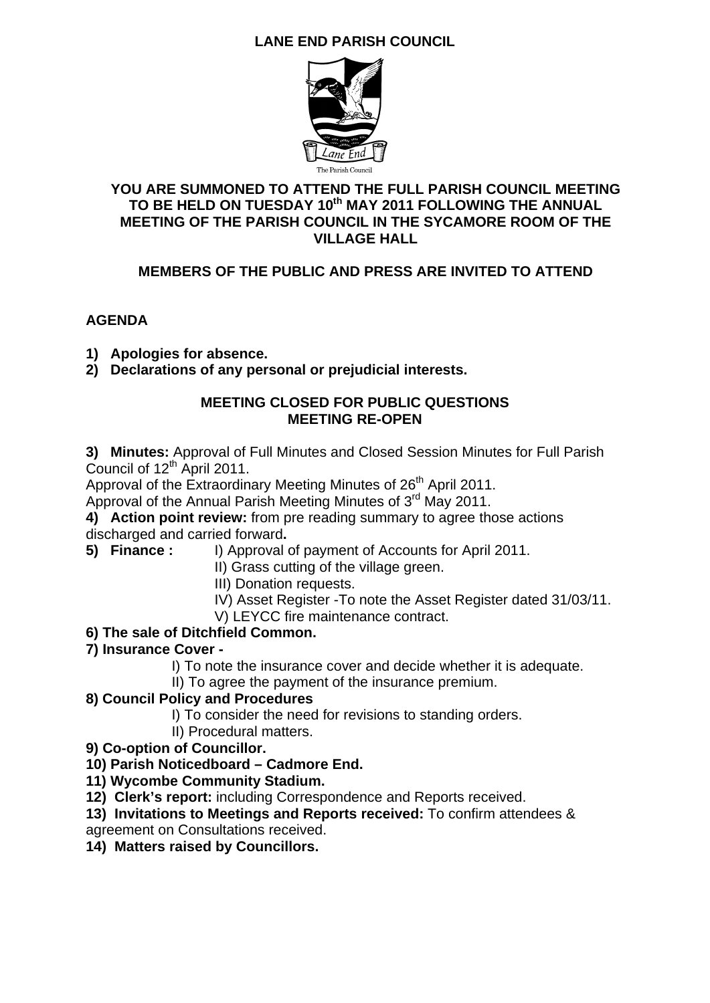## **LANE END PARISH COUNCIL**



#### **YOU ARE SUMMONED TO ATTEND THE FULL PARISH COUNCIL MEETING**  TO BE HELD ON TUESDAY 10<sup>th</sup> MAY 2011 FOLLOWING THE ANNUAL **MEETING OF THE PARISH COUNCIL IN THE SYCAMORE ROOM OF THE VILLAGE HALL**

## **MEMBERS OF THE PUBLIC AND PRESS ARE INVITED TO ATTEND**

#### **AGENDA**

- **1) Apologies for absence.**
- **2) Declarations of any personal or prejudicial interests.**

#### **MEETING CLOSED FOR PUBLIC QUESTIONS MEETING RE-OPEN**

**3) Minutes:** Approval of Full Minutes and Closed Session Minutes for Full Parish Council of  $12<sup>th</sup>$  April 2011.

Approval of the Extraordinary Meeting Minutes of 26<sup>th</sup> April 2011.

Approval of the Annual Parish Meeting Minutes of 3<sup>rd</sup> May 2011.

**4) Action point review:** from pre reading summary to agree those actions discharged and carried forward**.** 

**5) Finance :** I) Approval of payment of Accounts for April 2011.

II) Grass cutting of the village green.

- III) Donation requests.
- IV) Asset Register -To note the Asset Register dated 31/03/11.
- V) LEYCC fire maintenance contract.
- **6) The sale of Ditchfield Common.**
- **7) Insurance Cover** 
	- I) To note the insurance cover and decide whether it is adequate.
	- II) To agree the payment of the insurance premium.

#### **8) Council Policy and Procedures**

- I) To consider the need for revisions to standing orders.
- II) Procedural matters.
- **9) Co-option of Councillor.**
- **10) Parish Noticedboard Cadmore End.**
- **11) Wycombe Community Stadium.**
- **12) Clerk's report:** including Correspondence and Reports received.
- **13) Invitations to Meetings and Reports received:** To confirm attendees &
- agreement on Consultations received.
- **14) Matters raised by Councillors.**